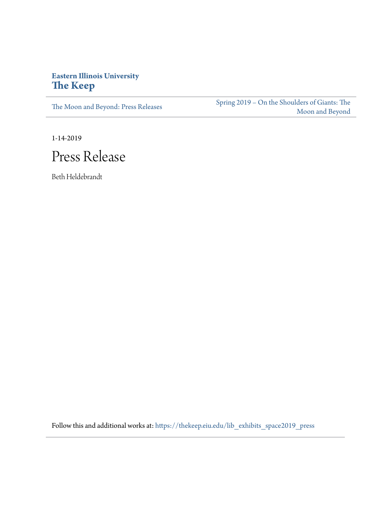## **Eastern Illinois University [The Keep](https://thekeep.eiu.edu?utm_source=thekeep.eiu.edu%2Flib_exhibits_space2019_press%2F1&utm_medium=PDF&utm_campaign=PDFCoverPages)**

[The Moon and Beyond: Press Releases](https://thekeep.eiu.edu/lib_exhibits_space2019_press?utm_source=thekeep.eiu.edu%2Flib_exhibits_space2019_press%2F1&utm_medium=PDF&utm_campaign=PDFCoverPages)

[Spring 2019 – On the Shoulders of Giants: The](https://thekeep.eiu.edu/lib_exhibits_space2019?utm_source=thekeep.eiu.edu%2Flib_exhibits_space2019_press%2F1&utm_medium=PDF&utm_campaign=PDFCoverPages) [Moon and Beyond](https://thekeep.eiu.edu/lib_exhibits_space2019?utm_source=thekeep.eiu.edu%2Flib_exhibits_space2019_press%2F1&utm_medium=PDF&utm_campaign=PDFCoverPages)

1-14-2019



Beth Heldebrandt

Follow this and additional works at: [https://thekeep.eiu.edu/lib\\_exhibits\\_space2019\\_press](https://thekeep.eiu.edu/lib_exhibits_space2019_press?utm_source=thekeep.eiu.edu%2Flib_exhibits_space2019_press%2F1&utm_medium=PDF&utm_campaign=PDFCoverPages)